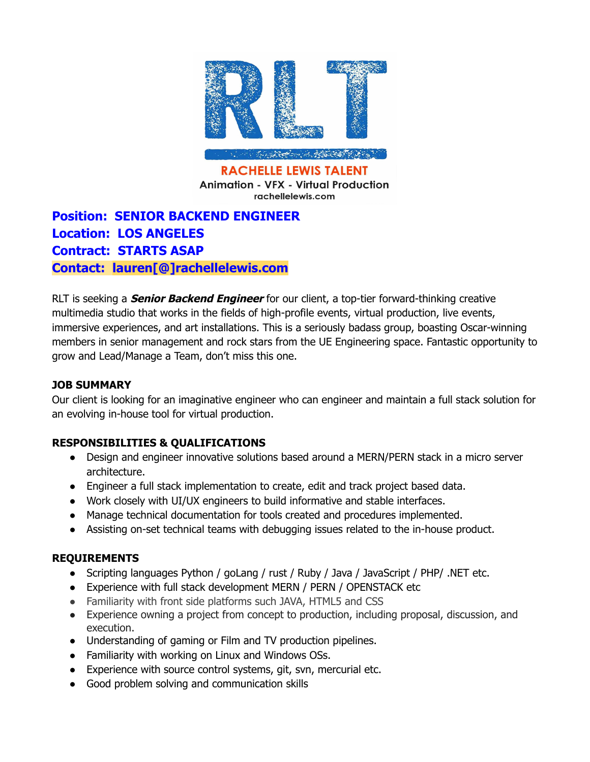

**Position: SENIOR BACKEND ENGINEER Location: LOS ANGELES Contract: STARTS ASAP Contact: lauren[@]rachellelewis.com**

RLT is seeking a **Senior Backend Engineer** for our client, a top-tier forward-thinking creative multimedia studio that works in the fields of high-profile events, virtual production, live events, immersive experiences, and art installations. This is a seriously badass group, boasting Oscar-winning members in senior management and rock stars from the UE Engineering space. Fantastic opportunity to grow and Lead/Manage a Team, don't miss this one.

## **JOB SUMMARY**

Our client is looking for an imaginative engineer who can engineer and maintain a full stack solution for an evolving in-house tool for virtual production.

## **RESPONSIBILITIES & QUALIFICATIONS**

- Design and engineer innovative solutions based around a MERN/PERN stack in a micro server architecture.
- Engineer a full stack implementation to create, edit and track project based data.
- Work closely with UI/UX engineers to build informative and stable interfaces.
- Manage technical documentation for tools created and procedures implemented.
- Assisting on-set technical teams with debugging issues related to the in-house product.

# **REQUIREMENTS**

- Scripting languages Python / goLang / rust / Ruby / Java / JavaScript / PHP/ .NET etc.
- Experience with full stack development MERN / PERN / OPENSTACK etc
- Familiarity with front side platforms such JAVA, HTML5 and CSS
- Experience owning a project from concept to production, including proposal, discussion, and execution.
- Understanding of gaming or Film and TV production pipelines.
- Familiarity with working on Linux and Windows OSs.
- Experience with source control systems, git, svn, mercurial etc.
- Good problem solving and communication skills